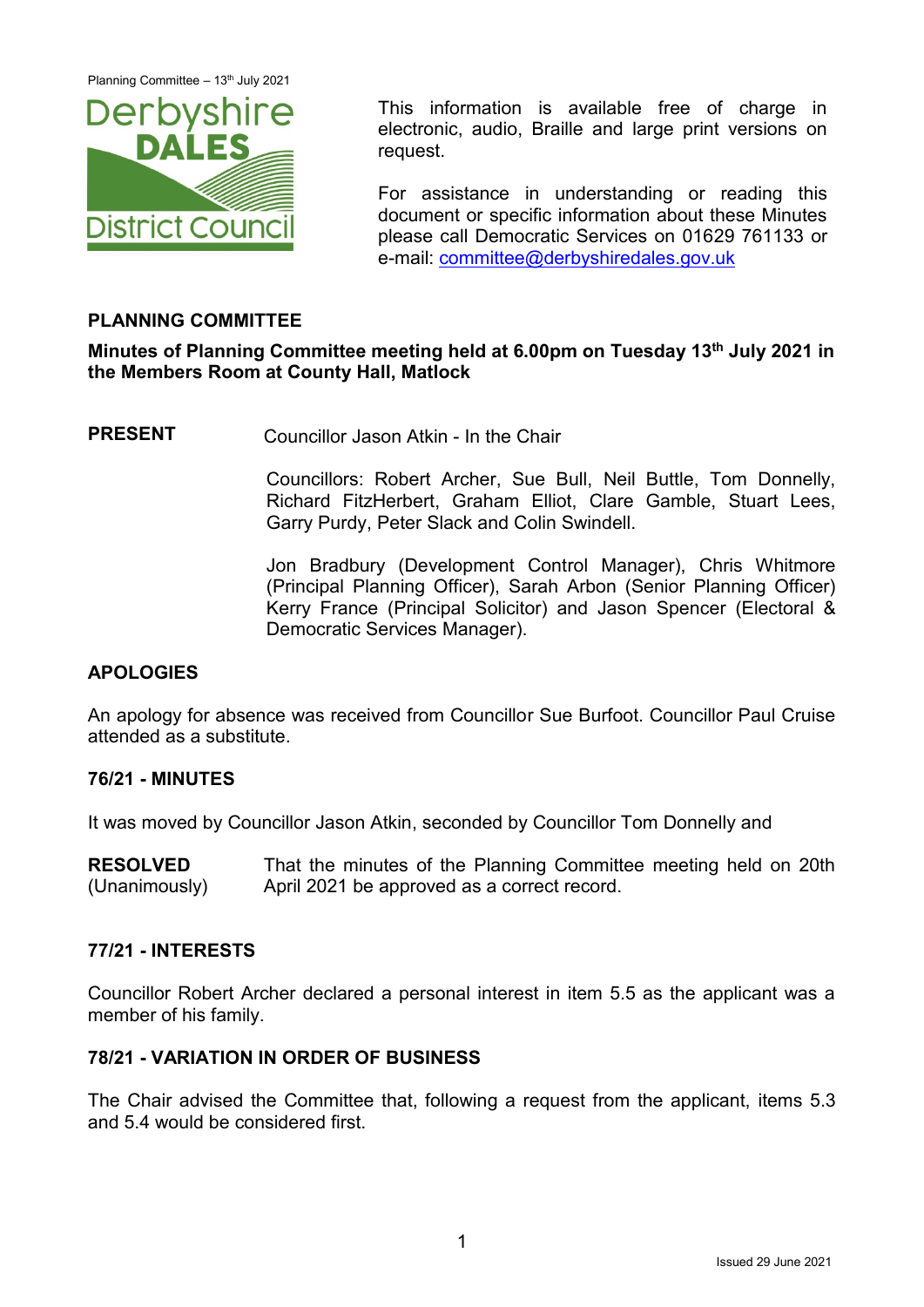Planning Committee - 13<sup>th</sup> July 2021



This information is available free of charge in electronic, audio, Braille and large print versions on request.

For assistance in understanding or reading this document or specific information about these Minutes please call Democratic Services on 01629 761133 or e-mail: [committee@derbyshiredales.gov.uk](mailto:committee@derbyshiredales.gov.uk)

### **PLANNING COMMITTEE**

### **Minutes of Planning Committee meeting held at 6.00pm on Tuesday 13th July 2021 in the Members Room at County Hall, Matlock**

**PRESENT** Councillor Jason Atkin - In the Chair

Councillors: Robert Archer, Sue Bull, Neil Buttle, Tom Donnelly, Richard FitzHerbert, Graham Elliot, Clare Gamble, Stuart Lees, Garry Purdy, Peter Slack and Colin Swindell.

Jon Bradbury (Development Control Manager), Chris Whitmore (Principal Planning Officer), Sarah Arbon (Senior Planning Officer) Kerry France (Principal Solicitor) and Jason Spencer (Electoral & Democratic Services Manager).

### **APOLOGIES**

An apology for absence was received from Councillor Sue Burfoot. Councillor Paul Cruise attended as a substitute.

#### **76/21 - MINUTES**

It was moved by Councillor Jason Atkin, seconded by Councillor Tom Donnelly and

**RESOLVED** (Unanimously) That the minutes of the Planning Committee meeting held on 20th April 2021 be approved as a correct record.

#### **77/21 - INTERESTS**

Councillor Robert Archer declared a personal interest in item 5.5 as the applicant was a member of his family.

#### **78/21 - VARIATION IN ORDER OF BUSINESS**

The Chair advised the Committee that, following a request from the applicant, items 5.3 and 5.4 would be considered first.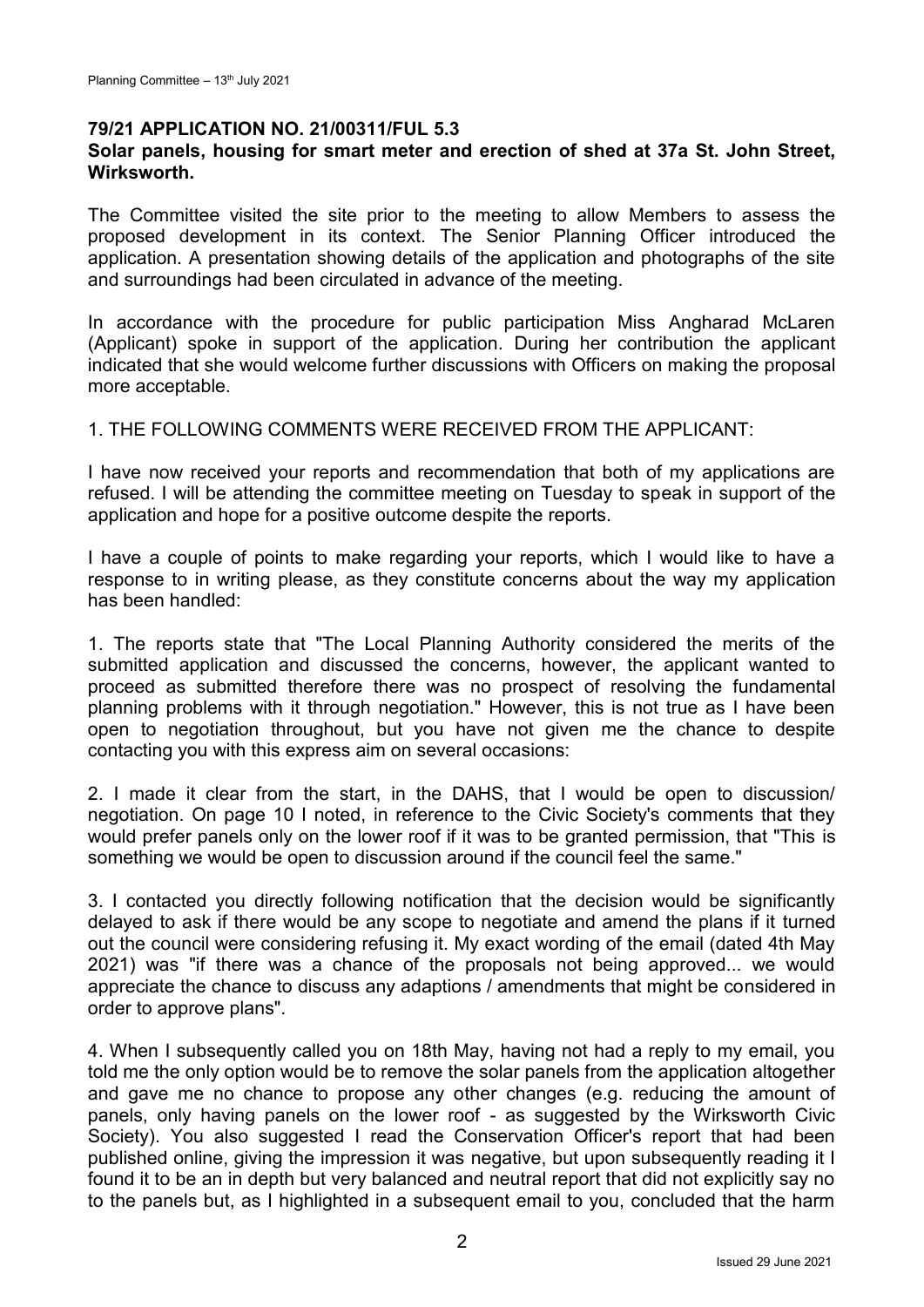#### **79/21 APPLICATION NO. 21/00311/FUL 5.3**

### **Solar panels, housing for smart meter and erection of shed at 37a St. John Street, Wirksworth.**

The Committee visited the site prior to the meeting to allow Members to assess the proposed development in its context. The Senior Planning Officer introduced the application. A presentation showing details of the application and photographs of the site and surroundings had been circulated in advance of the meeting.

In accordance with the procedure for public participation Miss Angharad McLaren (Applicant) spoke in support of the application. During her contribution the applicant indicated that she would welcome further discussions with Officers on making the proposal more acceptable.

#### 1. THE FOLLOWING COMMENTS WERE RECEIVED FROM THE APPLICANT:

I have now received your reports and recommendation that both of my applications are refused. I will be attending the committee meeting on Tuesday to speak in support of the application and hope for a positive outcome despite the reports.

I have a couple of points to make regarding your reports, which I would like to have a response to in writing please, as they constitute concerns about the way my application has been handled:

1. The reports state that "The Local Planning Authority considered the merits of the submitted application and discussed the concerns, however, the applicant wanted to proceed as submitted therefore there was no prospect of resolving the fundamental planning problems with it through negotiation." However, this is not true as I have been open to negotiation throughout, but you have not given me the chance to despite contacting you with this express aim on several occasions:

2. I made it clear from the start, in the DAHS, that I would be open to discussion/ negotiation. On page 10 I noted, in reference to the Civic Society's comments that they would prefer panels only on the lower roof if it was to be granted permission, that "This is something we would be open to discussion around if the council feel the same."

3. I contacted you directly following notification that the decision would be significantly delayed to ask if there would be any scope to negotiate and amend the plans if it turned out the council were considering refusing it. My exact wording of the email (dated 4th May 2021) was "if there was a chance of the proposals not being approved... we would appreciate the chance to discuss any adaptions / amendments that might be considered in order to approve plans".

4. When I subsequently called you on 18th May, having not had a reply to my email, you told me the only option would be to remove the solar panels from the application altogether and gave me no chance to propose any other changes (e.g. reducing the amount of panels, only having panels on the lower roof - as suggested by the Wirksworth Civic Society). You also suggested I read the Conservation Officer's report that had been published online, giving the impression it was negative, but upon subsequently reading it I found it to be an in depth but very balanced and neutral report that did not explicitly say no to the panels but, as I highlighted in a subsequent email to you, concluded that the harm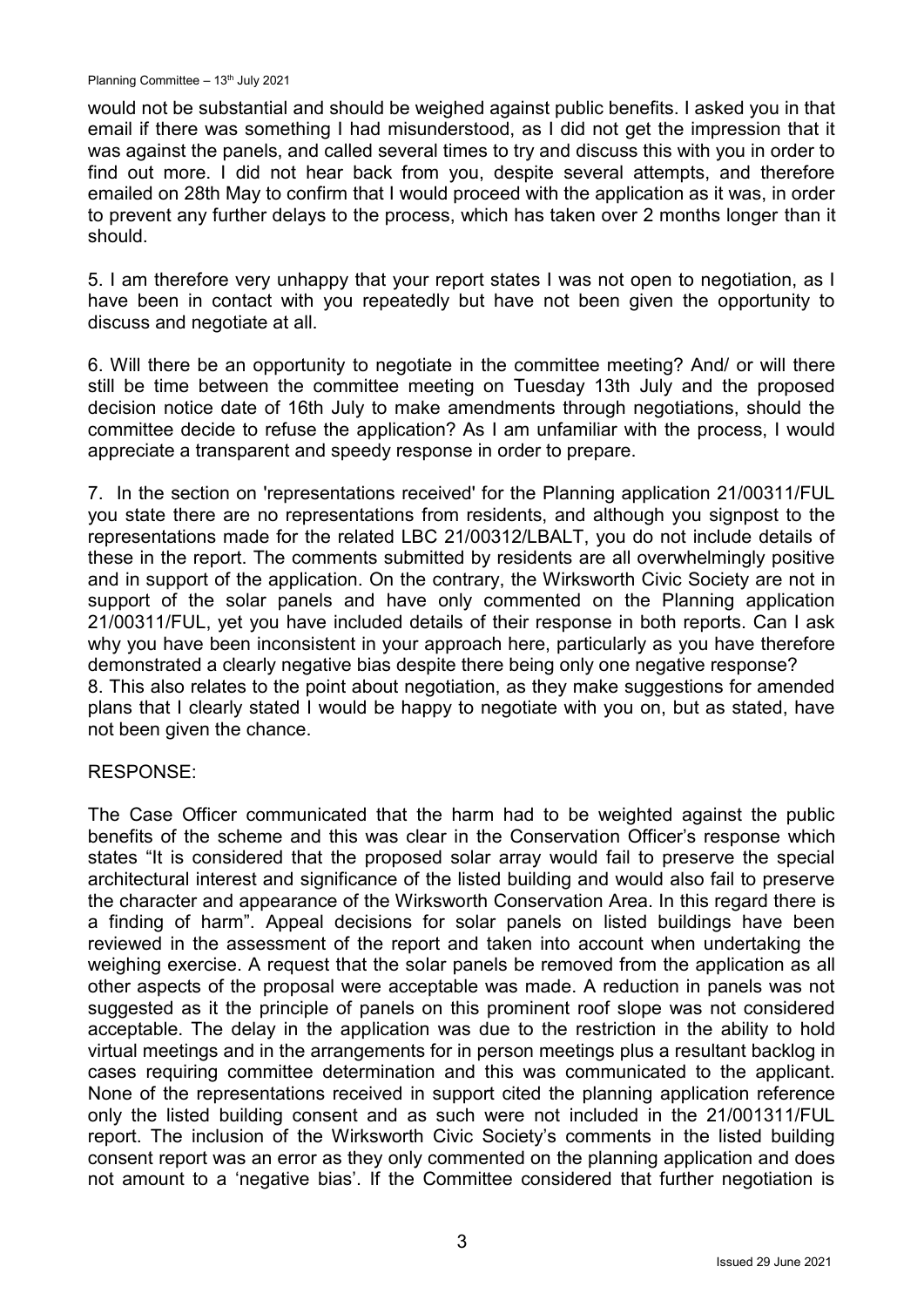would not be substantial and should be weighed against public benefits. I asked you in that email if there was something I had misunderstood, as I did not get the impression that it was against the panels, and called several times to try and discuss this with you in order to find out more. I did not hear back from you, despite several attempts, and therefore emailed on 28th May to confirm that I would proceed with the application as it was, in order to prevent any further delays to the process, which has taken over 2 months longer than it should.

5. I am therefore very unhappy that your report states I was not open to negotiation, as I have been in contact with you repeatedly but have not been given the opportunity to discuss and negotiate at all.

6. Will there be an opportunity to negotiate in the committee meeting? And/ or will there still be time between the committee meeting on Tuesday 13th July and the proposed decision notice date of 16th July to make amendments through negotiations, should the committee decide to refuse the application? As I am unfamiliar with the process, I would appreciate a transparent and speedy response in order to prepare.

7. In the section on 'representations received' for the Planning application 21/00311/FUL you state there are no representations from residents, and although you signpost to the representations made for the related LBC 21/00312/LBALT, you do not include details of these in the report. The comments submitted by residents are all overwhelmingly positive and in support of the application. On the contrary, the Wirksworth Civic Society are not in support of the solar panels and have only commented on the Planning application 21/00311/FUL, yet you have included details of their response in both reports. Can I ask why you have been inconsistent in your approach here, particularly as you have therefore demonstrated a clearly negative bias despite there being only one negative response? 8. This also relates to the point about negotiation, as they make suggestions for amended plans that I clearly stated I would be happy to negotiate with you on, but as stated, have not been given the chance.

### RESPONSE:

The Case Officer communicated that the harm had to be weighted against the public benefits of the scheme and this was clear in the Conservation Officer's response which states "It is considered that the proposed solar array would fail to preserve the special architectural interest and significance of the listed building and would also fail to preserve the character and appearance of the Wirksworth Conservation Area. In this regard there is a finding of harm". Appeal decisions for solar panels on listed buildings have been reviewed in the assessment of the report and taken into account when undertaking the weighing exercise. A request that the solar panels be removed from the application as all other aspects of the proposal were acceptable was made. A reduction in panels was not suggested as it the principle of panels on this prominent roof slope was not considered acceptable. The delay in the application was due to the restriction in the ability to hold virtual meetings and in the arrangements for in person meetings plus a resultant backlog in cases requiring committee determination and this was communicated to the applicant. None of the representations received in support cited the planning application reference only the listed building consent and as such were not included in the 21/001311/FUL report. The inclusion of the Wirksworth Civic Society's comments in the listed building consent report was an error as they only commented on the planning application and does not amount to a 'negative bias'. If the Committee considered that further negotiation is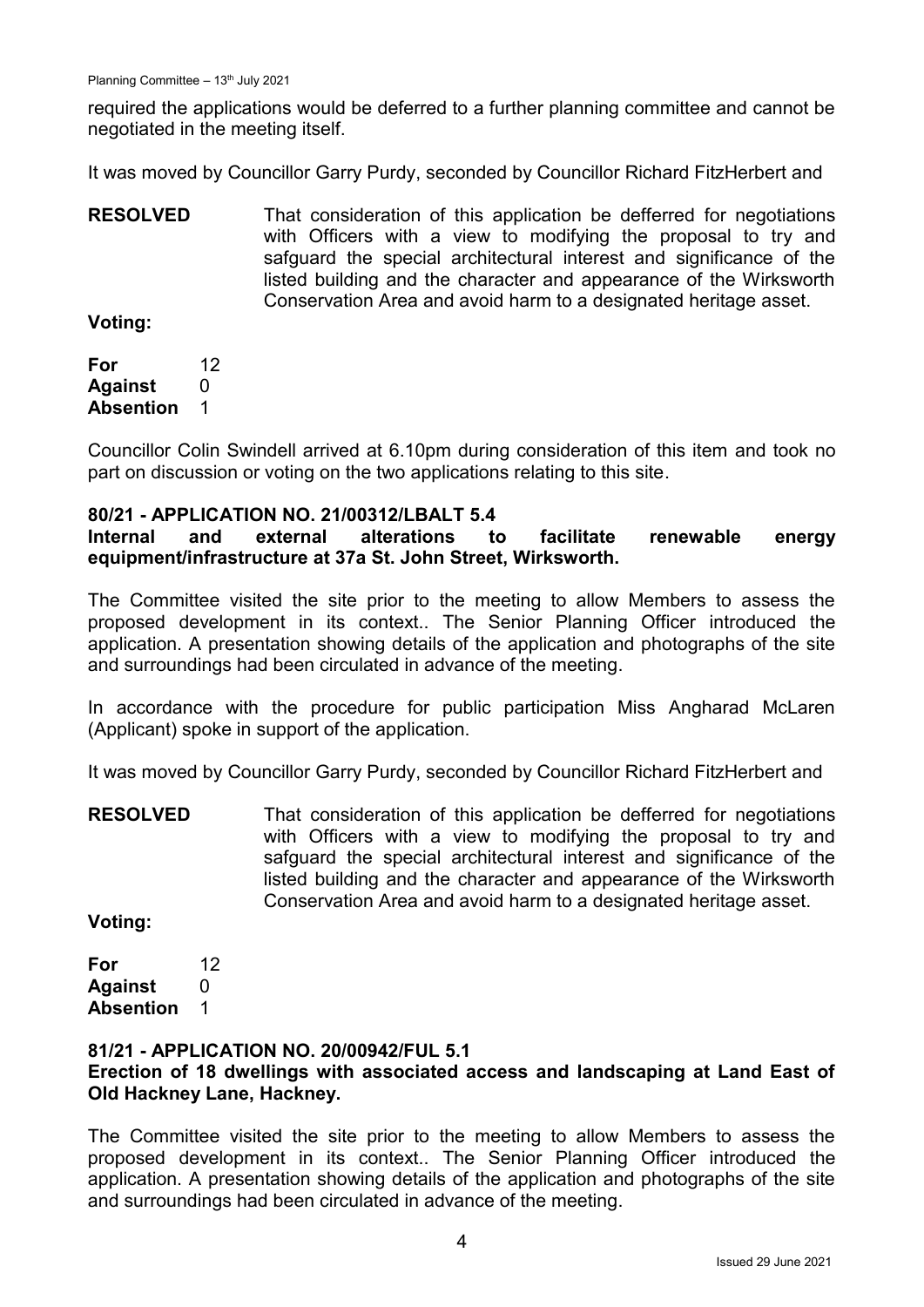required the applications would be deferred to a further planning committee and cannot be negotiated in the meeting itself.

It was moved by Councillor Garry Purdy, seconded by Councillor Richard FitzHerbert and

**RESOLVED** That consideration of this application be defferred for negotiations with Officers with a view to modifying the proposal to try and safguard the special architectural interest and significance of the listed building and the character and appearance of the Wirksworth Conservation Area and avoid harm to a designated heritage asset.

**Voting:**

**For** 12 **Against** 0 **Absention** 1

Councillor Colin Swindell arrived at 6.10pm during consideration of this item and took no part on discussion or voting on the two applications relating to this site.

### **80/21 - APPLICATION NO. 21/00312/LBALT 5.4**

## **Internal and external alterations to facilitate renewable energy equipment/infrastructure at 37a St. John Street, Wirksworth.**

The Committee visited the site prior to the meeting to allow Members to assess the proposed development in its context.. The Senior Planning Officer introduced the application. A presentation showing details of the application and photographs of the site and surroundings had been circulated in advance of the meeting.

In accordance with the procedure for public participation Miss Angharad McLaren (Applicant) spoke in support of the application.

It was moved by Councillor Garry Purdy, seconded by Councillor Richard FitzHerbert and

**RESOLVED** That consideration of this application be defferred for negotiations with Officers with a view to modifying the proposal to try and safquard the special architectural interest and significance of the listed building and the character and appearance of the Wirksworth Conservation Area and avoid harm to a designated heritage asset.

**Voting:**

**For** 12 **Against** 0 **Absention** 1

### **81/21 - APPLICATION NO. 20/00942/FUL 5.1**

### **Erection of 18 dwellings with associated access and landscaping at Land East of Old Hackney Lane, Hackney.**

The Committee visited the site prior to the meeting to allow Members to assess the proposed development in its context.. The Senior Planning Officer introduced the application. A presentation showing details of the application and photographs of the site and surroundings had been circulated in advance of the meeting.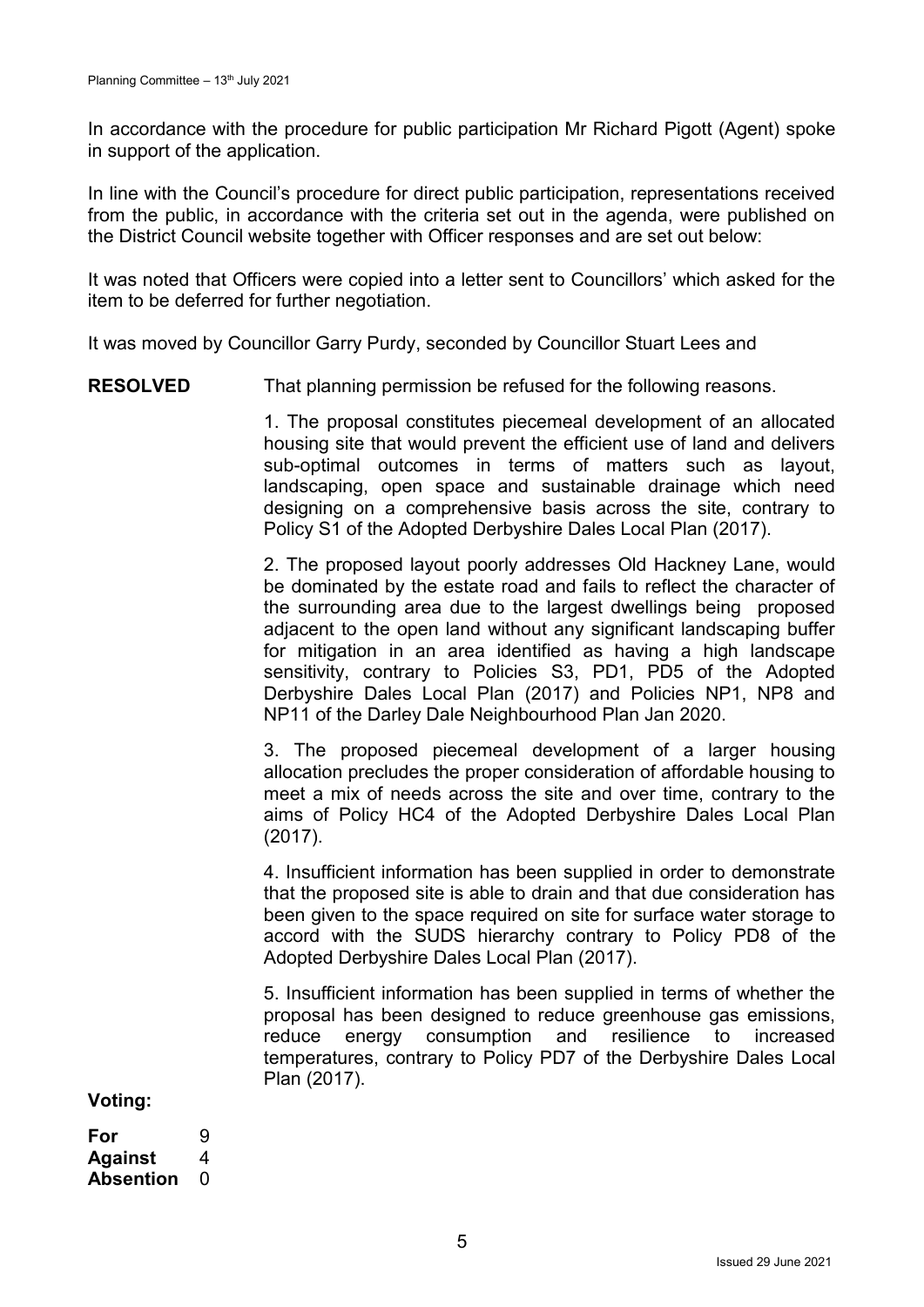In accordance with the procedure for public participation Mr Richard Pigott (Agent) spoke in support of the application.

In line with the Council's procedure for direct public participation, representations received from the public, in accordance with the criteria set out in the agenda, were published on the District Council website together with Officer responses and are set out below:

It was noted that Officers were copied into a letter sent to Councillors' which asked for the item to be deferred for further negotiation.

It was moved by Councillor Garry Purdy, seconded by Councillor Stuart Lees and

**RESOLVED** That planning permission be refused for the following reasons.

1. The proposal constitutes piecemeal development of an allocated housing site that would prevent the efficient use of land and delivers sub-optimal outcomes in terms of matters such as layout, landscaping, open space and sustainable drainage which need designing on a comprehensive basis across the site, contrary to Policy S1 of the Adopted Derbyshire Dales Local Plan (2017).

2. The proposed layout poorly addresses Old Hackney Lane, would be dominated by the estate road and fails to reflect the character of the surrounding area due to the largest dwellings being proposed adjacent to the open land without any significant landscaping buffer for mitigation in an area identified as having a high landscape sensitivity, contrary to Policies S3, PD1, PD5 of the Adopted Derbyshire Dales Local Plan (2017) and Policies NP1, NP8 and NP11 of the Darley Dale Neighbourhood Plan Jan 2020.

3. The proposed piecemeal development of a larger housing allocation precludes the proper consideration of affordable housing to meet a mix of needs across the site and over time, contrary to the aims of Policy HC4 of the Adopted Derbyshire Dales Local Plan (2017).

4. Insufficient information has been supplied in order to demonstrate that the proposed site is able to drain and that due consideration has been given to the space required on site for surface water storage to accord with the SUDS hierarchy contrary to Policy PD8 of the Adopted Derbyshire Dales Local Plan (2017).

5. Insufficient information has been supplied in terms of whether the proposal has been designed to reduce greenhouse gas emissions, reduce energy consumption and resilience to increased temperatures, contrary to Policy PD7 of the Derbyshire Dales Local Plan (2017).

**Voting:**

**For** 9 **Against** 4 **Absention** 0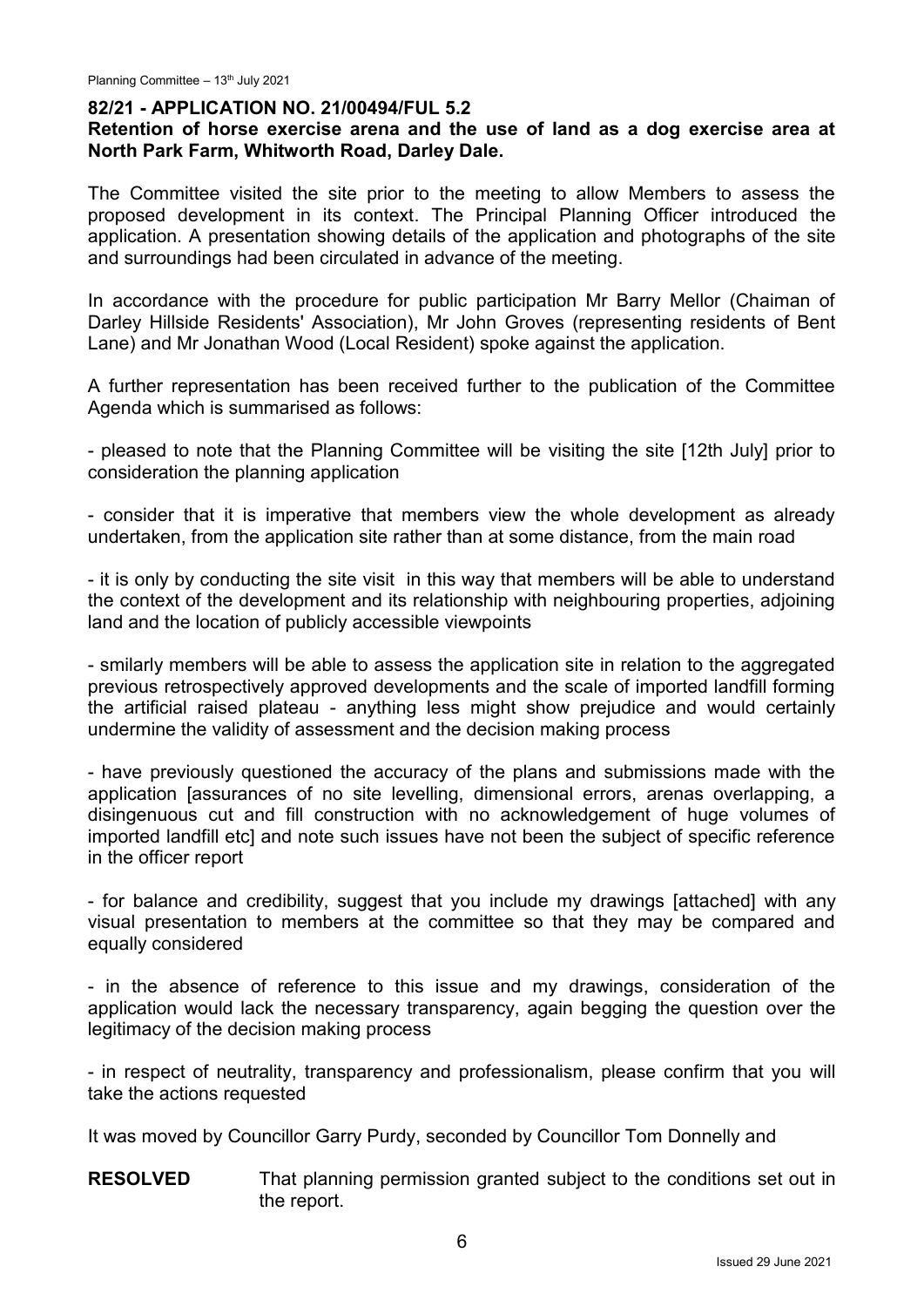#### **82/21 - APPLICATION NO. 21/00494/FUL 5.2**

#### **Retention of horse exercise arena and the use of land as a dog exercise area at North Park Farm, Whitworth Road, Darley Dale.**

The Committee visited the site prior to the meeting to allow Members to assess the proposed development in its context. The Principal Planning Officer introduced the application. A presentation showing details of the application and photographs of the site and surroundings had been circulated in advance of the meeting.

In accordance with the procedure for public participation Mr Barry Mellor (Chaiman of Darley Hillside Residents' Association), Mr John Groves (representing residents of Bent Lane) and Mr Jonathan Wood (Local Resident) spoke against the application.

A further representation has been received further to the publication of the Committee Agenda which is summarised as follows:

- pleased to note that the Planning Committee will be visiting the site [12th July] prior to consideration the planning application

- consider that it is imperative that members view the whole development as already undertaken, from the application site rather than at some distance, from the main road

- it is only by conducting the site visit in this way that members will be able to understand the context of the development and its relationship with neighbouring properties, adjoining land and the location of publicly accessible viewpoints

- smilarly members will be able to assess the application site in relation to the aggregated previous retrospectively approved developments and the scale of imported landfill forming the artificial raised plateau - anything less might show prejudice and would certainly undermine the validity of assessment and the decision making process

- have previously questioned the accuracy of the plans and submissions made with the application [assurances of no site levelling, dimensional errors, arenas overlapping, a disingenuous cut and fill construction with no acknowledgement of huge volumes of imported landfill etc] and note such issues have not been the subject of specific reference in the officer report

- for balance and credibility, suggest that you include my drawings [attached] with any visual presentation to members at the committee so that they may be compared and equally considered

- in the absence of reference to this issue and my drawings, consideration of the application would lack the necessary transparency, again begging the question over the legitimacy of the decision making process

- in respect of neutrality, transparency and professionalism, please confirm that you will take the actions requested

It was moved by Councillor Garry Purdy, seconded by Councillor Tom Donnelly and

**RESOLVED** That planning permission granted subject to the conditions set out in the report.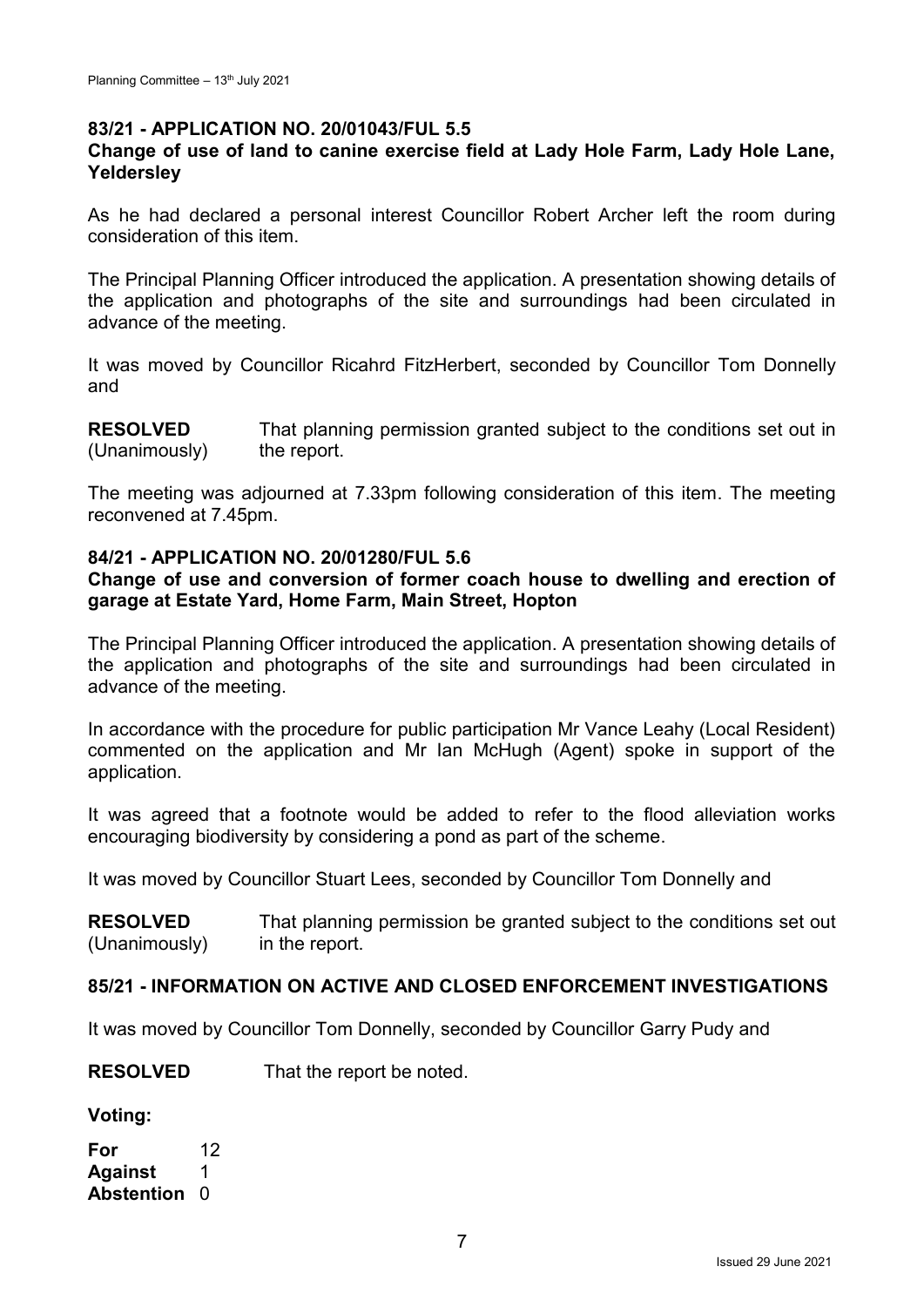### **83/21 - APPLICATION NO. 20/01043/FUL 5.5**

### **Change of use of land to canine exercise field at Lady Hole Farm, Lady Hole Lane, Yeldersley**

As he had declared a personal interest Councillor Robert Archer left the room during consideration of this item.

The Principal Planning Officer introduced the application. A presentation showing details of the application and photographs of the site and surroundings had been circulated in advance of the meeting.

It was moved by Councillor Ricahrd FitzHerbert, seconded by Councillor Tom Donnelly and

**RESOLVED** (Unanimously) That planning permission granted subject to the conditions set out in the report.

The meeting was adjourned at 7.33pm following consideration of this item. The meeting reconvened at 7.45pm.

#### **84/21 - APPLICATION NO. 20/01280/FUL 5.6**

### **Change of use and conversion of former coach house to dwelling and erection of garage at Estate Yard, Home Farm, Main Street, Hopton**

The Principal Planning Officer introduced the application. A presentation showing details of the application and photographs of the site and surroundings had been circulated in advance of the meeting.

In accordance with the procedure for public participation Mr Vance Leahy (Local Resident) commented on the application and Mr Ian McHugh (Agent) spoke in support of the application.

It was agreed that a footnote would be added to refer to the flood alleviation works encouraging biodiversity by considering a pond as part of the scheme.

It was moved by Councillor Stuart Lees, seconded by Councillor Tom Donnelly and

**RESOLVED** (Unanimously) That planning permission be granted subject to the conditions set out in the report.

### **85/21 - INFORMATION ON ACTIVE AND CLOSED ENFORCEMENT INVESTIGATIONS**

It was moved by Councillor Tom Donnelly, seconded by Councillor Garry Pudy and

**RESOLVED** That the report be noted.

**Voting:**

**For** 12 **Against** 1 **Abstention** 0